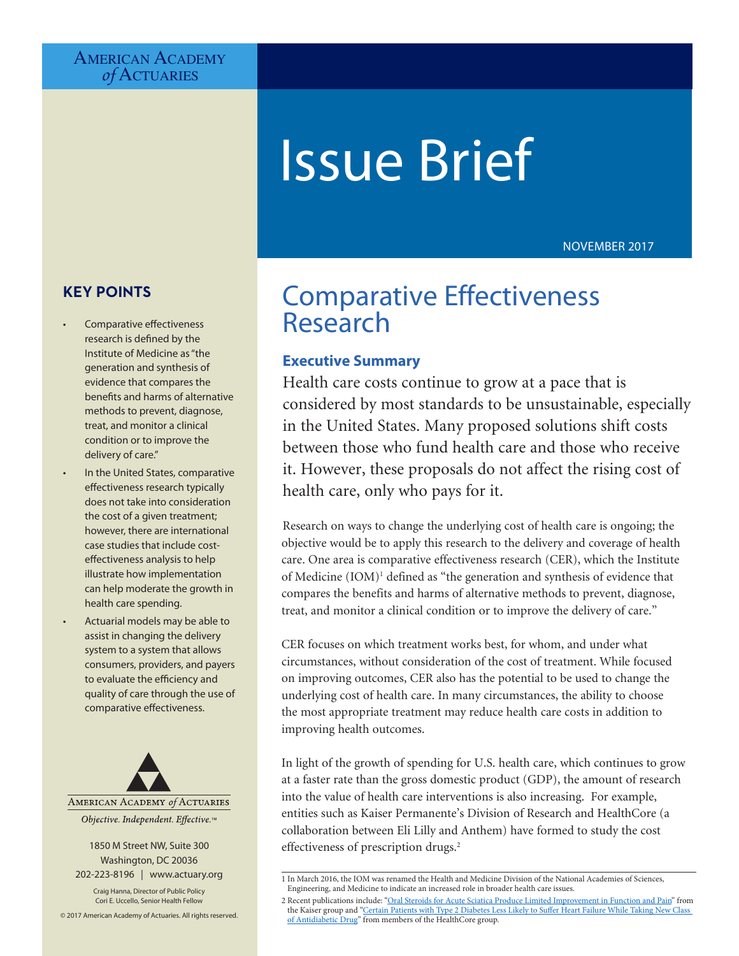# **AMERICAN ACADEMY** *of* Actuaries

# Issue Brief

# NOVEMBER 2017

# **KEY POINTS**

- Comparative effectiveness research is defined by the Institute of Medicine as "the generation and synthesis of evidence that compares the benefits and harms of alternative methods to prevent, diagnose, treat, and monitor a clinical condition or to improve the delivery of care."
- In the United States, comparative effectiveness research typically does not take into consideration the cost of a given treatment; however, there are international case studies that include costeffectiveness analysis to help illustrate how implementation can help moderate the growth in health care spending.
- Actuarial models may be able to assist in changing the delivery system to a system that allows consumers, providers, and payers to evaluate the efficiency and quality of care through the use of comparative effectiveness.



1850 M Street NW, Suite 300 Washington, DC 20036 202-223-8196 | [www.actuary.org](http://www.actuary.org)

Craig Hanna, Director of Public Policy Cori E. Uccello, Senior Health Fellow

© 2017 American Academy of Actuaries. All rights reserved.

# Comparative Effectiveness Research

# **Executive Summary**

Health care costs continue to grow at a pace that is considered by most standards to be unsustainable, especially in the United States. Many proposed solutions shift costs between those who fund health care and those who receive it. However, these proposals do not affect the rising cost of health care, only who pays for it.

Research on ways to change the underlying cost of health care is ongoing; the objective would be to apply this research to the delivery and coverage of health care. One area is comparative effectiveness research (CER), which the Institute of Medicine (IOM)<sup>1</sup> defined as "the generation and synthesis of evidence that compares the benefits and harms of alternative methods to prevent, diagnose, treat, and monitor a clinical condition or to improve the delivery of care."

CER focuses on which treatment works best, for whom, and under what circumstances, without consideration of the cost of treatment. While focused on improving outcomes, CER also has the potential to be used to change the underlying cost of health care. In many circumstances, the ability to choose the most appropriate treatment may reduce health care costs in addition to improving health outcomes.

In light of the growth of spending for U.S. health care, which continues to grow at a faster rate than the gross domestic product (GDP), the amount of research into the value of health care interventions is also increasing. For example, entities such as Kaiser Permanente's Division of Research and HealthCore (a collaboration between Eli Lilly and Anthem) have formed to study the cost effectiveness of prescription drugs.<sup>2</sup>

<sup>1</sup> In March 2016, the IOM was renamed the Health and Medicine Division of the National Academies of Sciences, Engineering, and Medicine to indicate an increased role in broader health care issues.

<sup>2</sup> Recent publications include: ["Oral Steroids for Acute Sciatica Produce Limited Improvement in Function and Pain](https://share.kaiserpermanente.org/article/oral-steroids-for-acute-sciatica-produce-limited-improvement-in-function-and-pain/)" from the Kaiser group and ["Certain Patients with Type 2 Diabetes Less Likely to Suffer Heart Failure While Taking New Class](https://www.healthcore.com/certain-patients-type-2-diabetes-less-likely-suffer-heart-failure-taking-new-class-antidiabetic-drug/)  [of Antidiabetic Drug](https://www.healthcore.com/certain-patients-type-2-diabetes-less-likely-suffer-heart-failure-taking-new-class-antidiabetic-drug/)" from members of the HealthCore group.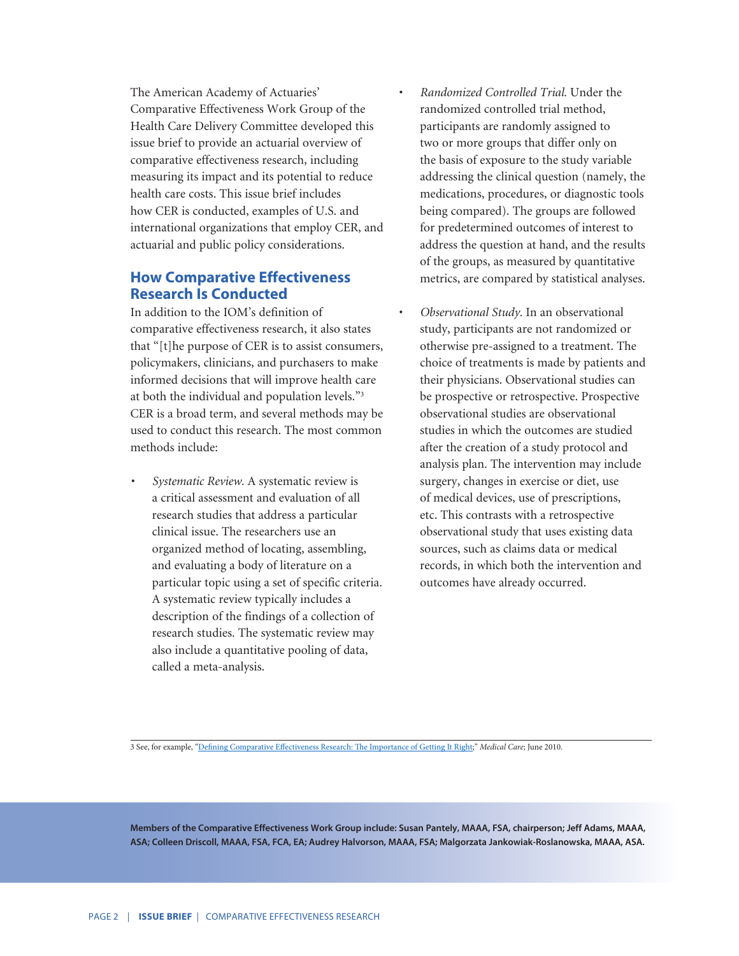The American Academy of Actuaries' Comparative Effectiveness Work Group of the Health Care Delivery Committee developed this issue brief to provide an actuarial overview of comparative effectiveness research, including measuring its impact and its potential to reduce health care costs. This issue brief includes how CER is conducted, examples of U.S. and international organizations that employ CER, and actuarial and public policy considerations.

# **How Comparative Effectiveness Research Is Conducted**

In addition to the IOM's definition of comparative effectiveness research, it also states that "[t]he purpose of CER is to assist consumers, policymakers, clinicians, and purchasers to make informed decisions that will improve health care at both the individual and population levels."<sup>3</sup> CER is a broad term, and several methods may be used to conduct this research. The most common methods include:

*• Systematic Review.* A systematic review is a critical assessment and evaluation of all research studies that address a particular clinical issue. The researchers use an organized method of locating, assembling, and evaluating a body of literature on a particular topic using a set of specific criteria. A systematic review typically includes a description of the findings of a collection of research studies. The systematic review may also include a quantitative pooling of data, called a meta-analysis.

- *• Randomized Controlled Trial.* Under the randomized controlled trial method, participants are randomly assigned to two or more groups that differ only on the basis of exposure to the study variable addressing the clinical question (namely, the medications, procedures, or diagnostic tools being compared). The groups are followed for predetermined outcomes of interest to address the question at hand, and the results of the groups, as measured by quantitative metrics, are compared by statistical analyses.
- *• Observational Study.* In an observational study, participants are not randomized or otherwise pre-assigned to a treatment. The choice of treatments is made by patients and their physicians. Observational studies can be prospective or retrospective. Prospective observational studies are observational studies in which the outcomes are studied after the creation of a study protocol and analysis plan. The intervention may include surgery, changes in exercise or diet, use of medical devices, use of prescriptions, etc. This contrasts with a retrospective observational study that uses existing data sources, such as claims data or medical records, in which both the intervention and outcomes have already occurred.

3 See, for example, ["Defining Comparative Effectiveness Research: The Importance of Getting It Right;](https://www.ncbi.nlm.nih.gov/pubmed/20473202)" *Medical Care*; June 2010.

**Members of the Comparative Effectiveness Work Group include: Susan Pantely, MAAA, FSA, chairperson; Jeff Adams, MAAA, ASA; Colleen Driscoll, MAAA, FSA, FCA, EA; Audrey Halvorson, MAAA, FSA; Malgorzata Jankowiak-Roslanowska, MAAA, ASA.**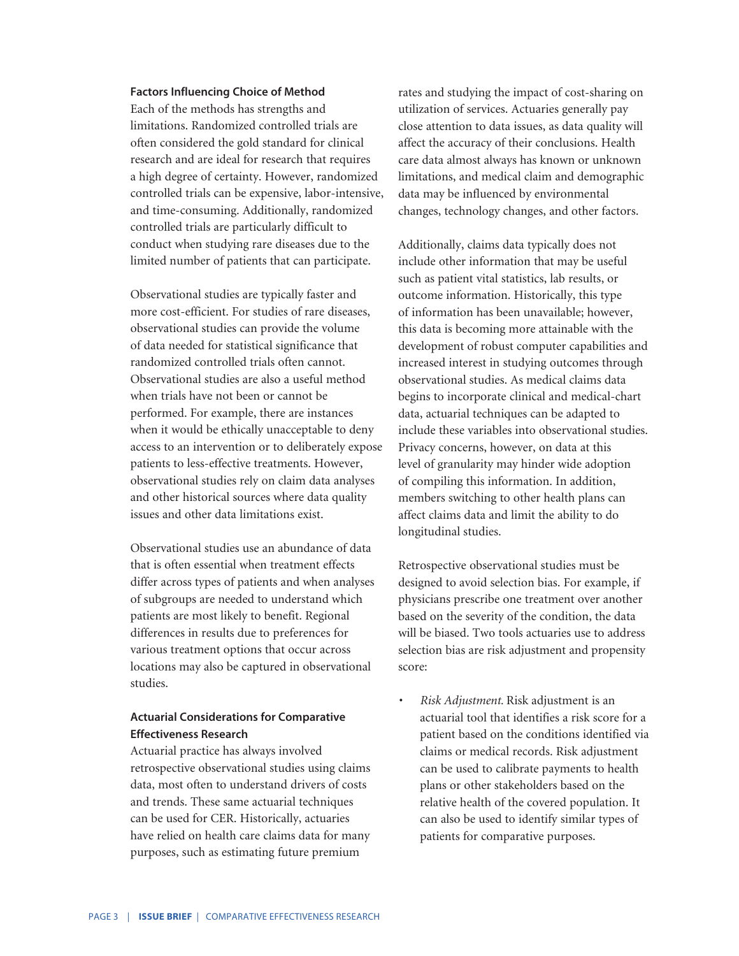#### **Factors Influencing Choice of Method**

Each of the methods has strengths and limitations. Randomized controlled trials are often considered the gold standard for clinical research and are ideal for research that requires a high degree of certainty. However, randomized controlled trials can be expensive, labor-intensive, and time-consuming. Additionally, randomized controlled trials are particularly difficult to conduct when studying rare diseases due to the limited number of patients that can participate.

Observational studies are typically faster and more cost-efficient. For studies of rare diseases, observational studies can provide the volume of data needed for statistical significance that randomized controlled trials often cannot. Observational studies are also a useful method when trials have not been or cannot be performed. For example, there are instances when it would be ethically unacceptable to deny access to an intervention or to deliberately expose patients to less-effective treatments. However, observational studies rely on claim data analyses and other historical sources where data quality issues and other data limitations exist.

Observational studies use an abundance of data that is often essential when treatment effects differ across types of patients and when analyses of subgroups are needed to understand which patients are most likely to benefit. Regional differences in results due to preferences for various treatment options that occur across locations may also be captured in observational studies.

# **Actuarial Considerations for Comparative Effectiveness Research**

Actuarial practice has always involved retrospective observational studies using claims data, most often to understand drivers of costs and trends. These same actuarial techniques can be used for CER. Historically, actuaries have relied on health care claims data for many purposes, such as estimating future premium

rates and studying the impact of cost-sharing on utilization of services. Actuaries generally pay close attention to data issues, as data quality will affect the accuracy of their conclusions. Health care data almost always has known or unknown limitations, and medical claim and demographic data may be influenced by environmental changes, technology changes, and other factors.

Additionally, claims data typically does not include other information that may be useful such as patient vital statistics, lab results, or outcome information. Historically, this type of information has been unavailable; however, this data is becoming more attainable with the development of robust computer capabilities and increased interest in studying outcomes through observational studies. As medical claims data begins to incorporate clinical and medical-chart data, actuarial techniques can be adapted to include these variables into observational studies. Privacy concerns, however, on data at this level of granularity may hinder wide adoption of compiling this information. In addition, members switching to other health plans can affect claims data and limit the ability to do longitudinal studies.

Retrospective observational studies must be designed to avoid selection bias. For example, if physicians prescribe one treatment over another based on the severity of the condition, the data will be biased. Two tools actuaries use to address selection bias are risk adjustment and propensity score:

*• Risk Adjustment.* Risk adjustment is an actuarial tool that identifies a risk score for a patient based on the conditions identified via claims or medical records. Risk adjustment can be used to calibrate payments to health plans or other stakeholders based on the relative health of the covered population. It can also be used to identify similar types of patients for comparative purposes.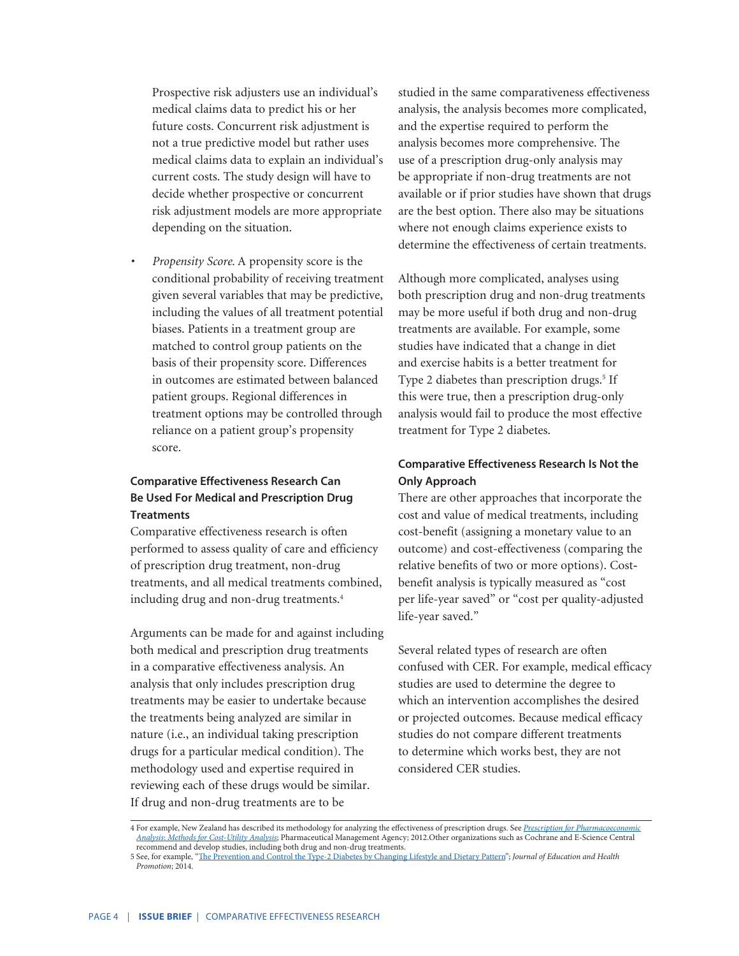Prospective risk adjusters use an individual's medical claims data to predict his or her future costs. Concurrent risk adjustment is not a true predictive model but rather uses medical claims data to explain an individual's current costs. The study design will have to decide whether prospective or concurrent risk adjustment models are more appropriate depending on the situation.

*• Propensity Score.* A propensity score is the conditional probability of receiving treatment given several variables that may be predictive, including the values of all treatment potential biases. Patients in a treatment group are matched to control group patients on the basis of their propensity score. Differences in outcomes are estimated between balanced patient groups. Regional differences in treatment options may be controlled through reliance on a patient group's propensity score.

# **Comparative Effectiveness Research Can Be Used For Medical and Prescription Drug Treatments**

Comparative effectiveness research is often performed to assess quality of care and efficiency of prescription drug treatment, non-drug treatments, and all medical treatments combined, including drug and non-drug treatments.<sup>4</sup>

Arguments can be made for and against including both medical and prescription drug treatments in a comparative effectiveness analysis. An analysis that only includes prescription drug treatments may be easier to undertake because the treatments being analyzed are similar in nature (i.e., an individual taking prescription drugs for a particular medical condition). The methodology used and expertise required in reviewing each of these drugs would be similar. If drug and non-drug treatments are to be

studied in the same comparativeness effectiveness analysis, the analysis becomes more complicated, and the expertise required to perform the analysis becomes more comprehensive. The use of a prescription drug-only analysis may be appropriate if non-drug treatments are not available or if prior studies have shown that drugs are the best option. There also may be situations where not enough claims experience exists to determine the effectiveness of certain treatments.

Although more complicated, analyses using both prescription drug and non-drug treatments may be more useful if both drug and non-drug treatments are available. For example, some studies have indicated that a change in diet and exercise habits is a better treatment for Type 2 diabetes than prescription drugs.<sup>5</sup> If this were true, then a prescription drug-only analysis would fail to produce the most effective treatment for Type 2 diabetes.

# **Comparative Effectiveness Research Is Not the Only Approach**

There are other approaches that incorporate the cost and value of medical treatments, including cost-benefit (assigning a monetary value to an outcome) and cost-effectiveness (comparing the relative benefits of two or more options). Costbenefit analysis is typically measured as "cost per life-year saved" or "cost per quality-adjusted life-year saved."

Several related types of research are often confused with CER. For example, medical efficacy studies are used to determine the degree to which an intervention accomplishes the desired or projected outcomes. Because medical efficacy studies do not compare different treatments to determine which works best, they are not considered CER studies.

<sup>4</sup> For example, New Zealand has described its methodology for analyzing the effectiveness of prescription drugs. See *[Prescription for Pharmacoeconomic](https://www.pharmac.govt.nz/assets/pfpa-final.pdf) [Analysis](https://www.pharmac.govt.nz/assets/pfpa-final.pdf)*: *[Methods for Cost-Utility Analysis](https://www.pharmac.govt.nz/assets/pfpa-final.pdf)*; Pharmaceutical Management Agency; 2012.Other organizations such as Cochrane and E-Science Central recommend and develop studies, including both drug and non-drug treatments.

<sup>5</sup> See, for example, "[The Prevention and Control the Type-2 Diabetes by Changing Lifestyle and Dietary Pattern"](https://www.ncbi.nlm.nih.gov/pmc/articles/PMC3977406/); *Journal of Education and Health Promotion*; 2014.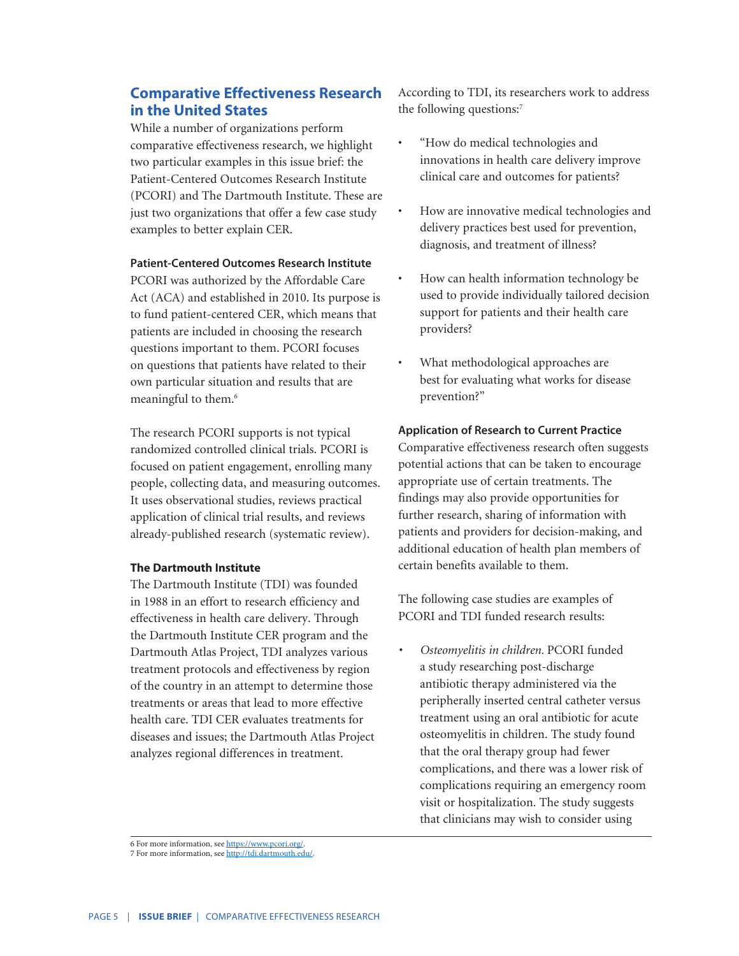# **Comparative Effectiveness Research in the United States**

While a number of organizations perform comparative effectiveness research, we highlight two particular examples in this issue brief: the Patient-Centered Outcomes Research Institute (PCORI) and The Dartmouth Institute. These are just two organizations that offer a few case study examples to better explain CER.

#### **Patient-Centered Outcomes Research Institute**

PCORI was authorized by the Affordable Care Act (ACA) and established in 2010. Its purpose is to fund patient-centered CER, which means that patients are included in choosing the research questions important to them. PCORI focuses on questions that patients have related to their own particular situation and results that are meaningful to them.<sup>6</sup>

The research PCORI supports is not typical randomized controlled clinical trials. PCORI is focused on patient engagement, enrolling many people, collecting data, and measuring outcomes. It uses observational studies, reviews practical application of clinical trial results, and reviews already-published research (systematic review).

#### **The Dartmouth Institute**

The Dartmouth Institute (TDI) was founded in 1988 in an effort to research efficiency and effectiveness in health care delivery. Through the Dartmouth Institute CER program and the Dartmouth Atlas Project, TDI analyzes various treatment protocols and effectiveness by region of the country in an attempt to determine those treatments or areas that lead to more effective health care. TDI CER evaluates treatments for diseases and issues; the Dartmouth Atlas Project analyzes regional differences in treatment.

According to TDI, its researchers work to address the following questions:<sup>7</sup>

- "How do medical technologies and innovations in health care delivery improve clinical care and outcomes for patients?
- How are innovative medical technologies and delivery practices best used for prevention, diagnosis, and treatment of illness?
- How can health information technology be used to provide individually tailored decision support for patients and their health care providers?
- What methodological approaches are best for evaluating what works for disease prevention?"

#### **Application of Research to Current Practice**

Comparative effectiveness research often suggests potential actions that can be taken to encourage appropriate use of certain treatments. The findings may also provide opportunities for further research, sharing of information with patients and providers for decision-making, and additional education of health plan members of certain benefits available to them.

The following case studies are examples of PCORI and TDI funded research results:

*• Osteomyelitis in children.* PCORI funded a study researching post-discharge antibiotic therapy administered via the peripherally inserted central catheter versus treatment using an oral antibiotic for acute osteomyelitis in children. The study found that the oral therapy group had fewer complications, and there was a lower risk of complications requiring an emergency room visit or hospitalization. The study suggests that clinicians may wish to consider using

<sup>6</sup> For more information, see <https://www.pcori.org/>.

<sup>7</sup> For more information, see <http://tdi.dartmouth.edu/>.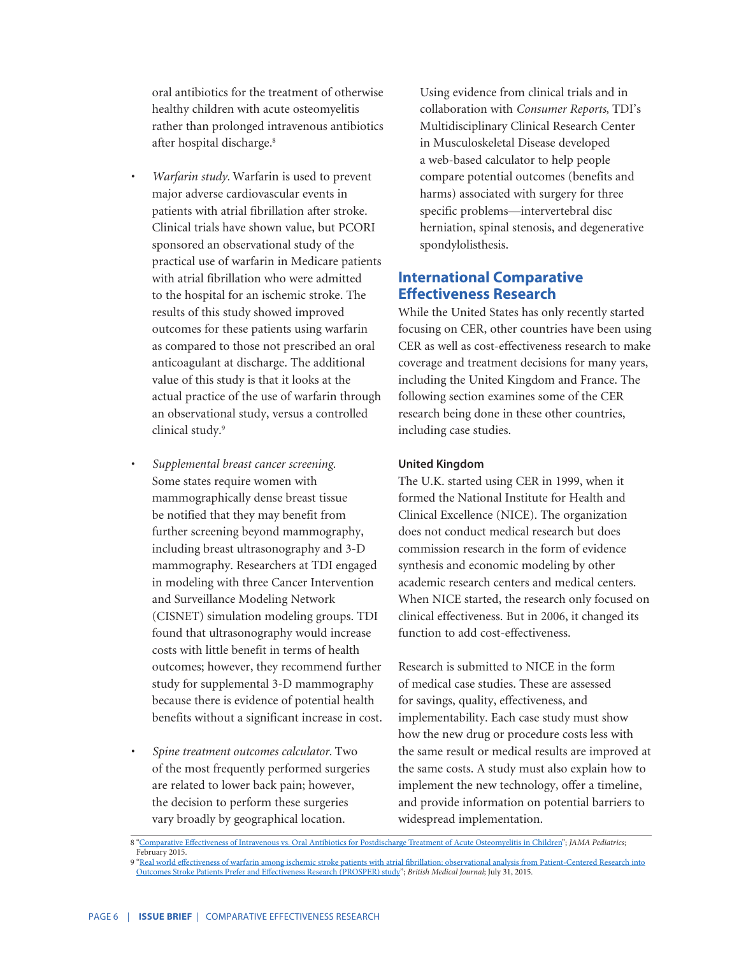oral antibiotics for the treatment of otherwise healthy children with acute osteomyelitis rather than prolonged intravenous antibiotics after hospital discharge.<sup>8</sup>

- *• Warfarin study.* Warfarin is used to prevent major adverse cardiovascular events in patients with atrial fibrillation after stroke. Clinical trials have shown value, but PCORI sponsored an observational study of the practical use of warfarin in Medicare patients with atrial fibrillation who were admitted to the hospital for an ischemic stroke. The results of this study showed improved outcomes for these patients using warfarin as compared to those not prescribed an oral anticoagulant at discharge. The additional value of this study is that it looks at the actual practice of the use of warfarin through an observational study, versus a controlled clinical study.<sup>9</sup>
- *• Supplemental breast cancer screening.*  Some states require women with mammographically dense breast tissue be notified that they may benefit from further screening beyond mammography, including breast ultrasonography and 3-D mammography. Researchers at TDI engaged in modeling with three Cancer Intervention and Surveillance Modeling Network (CISNET) simulation modeling groups. TDI found that ultrasonography would increase costs with little benefit in terms of health outcomes; however, they recommend further study for supplemental 3-D mammography because there is evidence of potential health benefits without a significant increase in cost.
- *• Spine treatment outcomes calculator.* Two of the most frequently performed surgeries are related to lower back pain; however, the decision to perform these surgeries vary broadly by geographical location.

Using evidence from clinical trials and in collaboration with *Consumer Reports*, TDI's Multidisciplinary Clinical Research Center in Musculoskeletal Disease developed a web-based calculator to help people compare potential outcomes (benefits and harms) associated with surgery for three specific problems—intervertebral disc herniation, spinal stenosis, and degenerative spondylolisthesis.

# **International Comparative Effectiveness Research**

While the United States has only recently started focusing on CER, other countries have been using CER as well as cost-effectiveness research to make coverage and treatment decisions for many years, including the United Kingdom and France. The following section examines some of the CER research being done in these other countries, including case studies.

### **United Kingdom**

The U.K. started using CER in 1999, when it formed the National Institute for Health and Clinical Excellence (NICE). The organization does not conduct medical research but does commission research in the form of evidence synthesis and economic modeling by other academic research centers and medical centers. When NICE started, the research only focused on clinical effectiveness. But in 2006, it changed its function to add cost-effectiveness.

Research is submitted to NICE in the form of medical case studies. These are assessed for savings, quality, effectiveness, and implementability. Each case study must show how the new drug or procedure costs less with the same result or medical results are improved at the same costs. A study must also explain how to implement the new technology, offer a timeline, and provide information on potential barriers to widespread implementation.

8 ["Comparative Effectiveness of Intravenous vs. Oral Antibiotics for Postdischarge Treatment of Acute Osteomyelitis in Children"](http://archpedi.jamanetwork.com/article.aspx?articleId=2022276&guestAccessKey=43adaaf9-e787-4fe1-8744-2daa26de2c06); *JAMA Pediatrics*;

February 2015. 9 "<u>[Real world effectiveness of warfarin among ischemic stroke patients with atrial fibrillation: observational analysis from Patient-Centered Research into](https://www.ncbi.nlm.nih.gov/pmc/articles/PMC4521370/)<br>Outcomes Stroke Patients Prefer and Effectiveness Research (PROSP</u>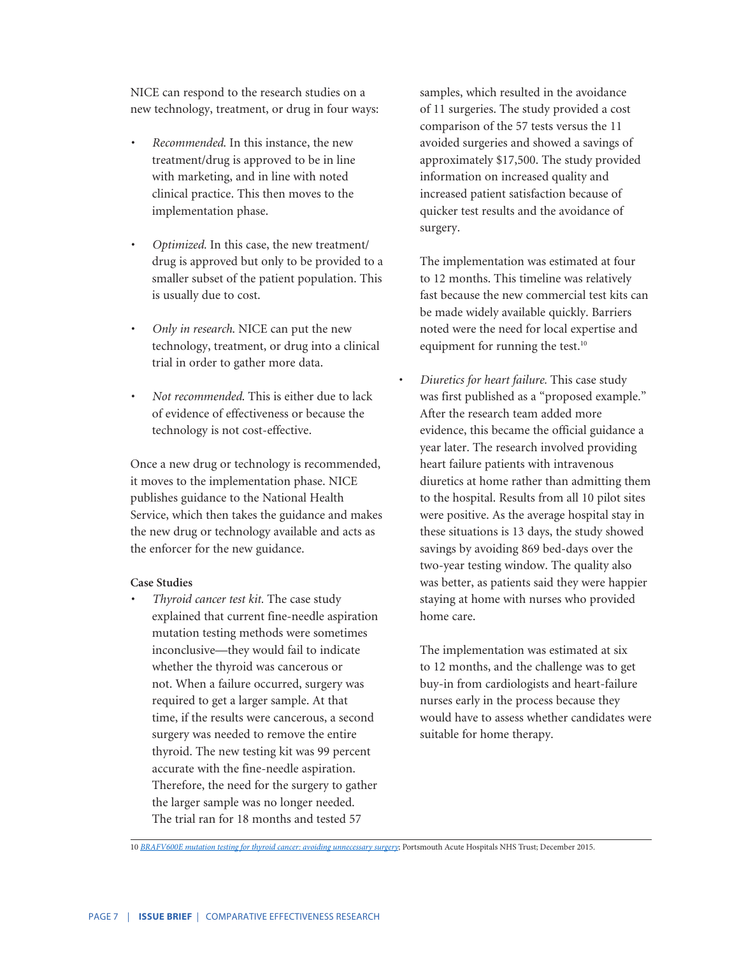NICE can respond to the research studies on a new technology, treatment, or drug in four ways:

- *• Recommended*. In this instance, the new treatment/drug is approved to be in line with marketing, and in line with noted clinical practice. This then moves to the implementation phase.
- *• Optimized.* In this case, the new treatment/ drug is approved but only to be provided to a smaller subset of the patient population. This is usually due to cost.
- *• Only in research*. NICE can put the new technology, treatment, or drug into a clinical trial in order to gather more data.
- *• Not recommended*. This is either due to lack of evidence of effectiveness or because the technology is not cost-effective.

Once a new drug or technology is recommended, it moves to the implementation phase. NICE publishes guidance to the National Health Service, which then takes the guidance and makes the new drug or technology available and acts as the enforcer for the new guidance.

#### **Case Studies**

*• Thyroid cancer test kit.* The case study explained that current fine-needle aspiration mutation testing methods were sometimes inconclusive—they would fail to indicate whether the thyroid was cancerous or not. When a failure occurred, surgery was required to get a larger sample. At that time, if the results were cancerous, a second surgery was needed to remove the entire thyroid. The new testing kit was 99 percent accurate with the fine-needle aspiration. Therefore, the need for the surgery to gather the larger sample was no longer needed. The trial ran for 18 months and tested 57

samples, which resulted in the avoidance of 11 surgeries. The study provided a cost comparison of the 57 tests versus the 11 avoided surgeries and showed a savings of approximately \$17,500. The study provided information on increased quality and increased patient satisfaction because of quicker test results and the avoidance of surgery.

The implementation was estimated at four to 12 months. This timeline was relatively fast because the new commercial test kits can be made widely available quickly. Barriers noted were the need for local expertise and equipment for running the test.<sup>10</sup>

*• Diuretics for heart failure.* This case study was first published as a "proposed example." After the research team added more evidence, this became the official guidance a year later. The research involved providing heart failure patients with intravenous diuretics at home rather than admitting them to the hospital. Results from all 10 pilot sites were positive. As the average hospital stay in these situations is 13 days, the study showed savings by avoiding 869 bed-days over the two-year testing window. The quality also was better, as patients said they were happier staying at home with nurses who provided home care.

The implementation was estimated at six to 12 months, and the challenge was to get buy-in from cardiologists and heart-failure nurses early in the process because they would have to assess whether candidates were suitable for home therapy.

<sup>10</sup> *[BRAFV600E mutation testing for thyroid cancer: avoiding unnecessary surgery](https://www.nice.org.uk/savingsandproductivityandlocalpracticeresource?id=2606)*; Portsmouth Acute Hospitals NHS Trust; December 2015.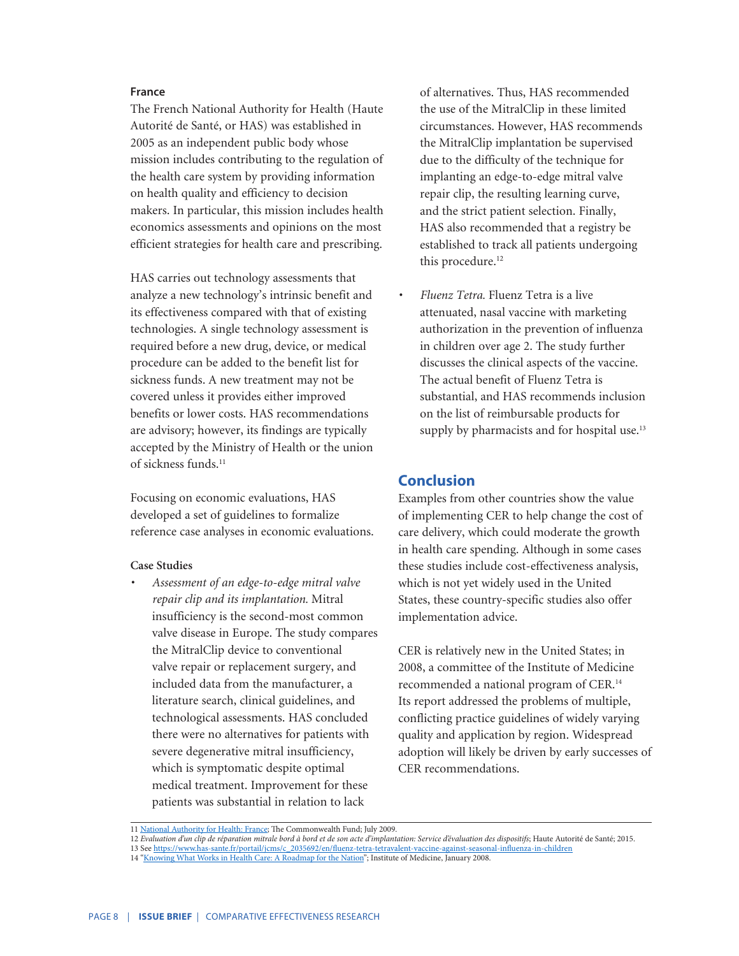#### **France**

The French National Authority for Health (Haute Autorité de Santé, or HAS) was established in 2005 as an independent public body whose mission includes contributing to the regulation of the health care system by providing information on health quality and efficiency to decision makers. In particular, this mission includes health economics assessments and opinions on the most efficient strategies for health care and prescribing.

HAS carries out technology assessments that analyze a new technology's intrinsic benefit and its effectiveness compared with that of existing technologies. A single technology assessment is required before a new drug, device, or medical procedure can be added to the benefit list for sickness funds. A new treatment may not be covered unless it provides either improved benefits or lower costs. HAS recommendations are advisory; however, its findings are typically accepted by the Ministry of Health or the union of sickness funds.<sup>11</sup>

Focusing on economic evaluations, HAS developed a set of guidelines to formalize reference case analyses in economic evaluations.

#### **Case Studies**

*• Assessment of an edge-to-edge mitral valve repair clip and its implantation.* Mitral insufficiency is the second-most common valve disease in Europe. The study compares the MitralClip device to conventional valve repair or replacement surgery, and included data from the manufacturer, a literature search, clinical guidelines, and technological assessments. HAS concluded there were no alternatives for patients with severe degenerative mitral insufficiency, which is symptomatic despite optimal medical treatment. Improvement for these patients was substantial in relation to lack

of alternatives. Thus, HAS recommended the use of the MitralClip in these limited circumstances. However, HAS recommends the MitralClip implantation be supervised due to the difficulty of the technique for implanting an edge-to-edge mitral valve repair clip, the resulting learning curve, and the strict patient selection. Finally, HAS also recommended that a registry be established to track all patients undergoing this procedure.<sup>12</sup>

*• Fluenz Tetra.* Fluenz Tetra is a live attenuated, nasal vaccine with marketing authorization in the prevention of influenza in children over age 2. The study further discusses the clinical aspects of the vaccine. The actual benefit of Fluenz Tetra is substantial, and HAS recommends inclusion on the list of reimbursable products for supply by pharmacists and for hospital use.<sup>13</sup>

# **Conclusion**

Examples from other countries show the value of implementing CER to help change the cost of care delivery, which could moderate the growth in health care spending. Although in some cases these studies include cost-effectiveness analysis, which is not yet widely used in the United States, these country-specific studies also offer implementation advice.

CER is relatively new in the United States; in 2008, a committee of the Institute of Medicine recommended a national program of CER.14 Its report addressed the problems of multiple, conflicting practice guidelines of widely varying quality and application by region. Widespread adoption will likely be driven by early successes of CER recommendations.

13 See [https://www.has-sante.fr/portail/jcms/c\\_2035692/en/fluenz-tetra-tetravalent-vaccine-against-seasonal-influenza-in-children](https://www.has-sante.fr/portail/jcms/c_2035692/en/fluenz-tetra-tetravalent-vaccine-against-seasonal-influenza-in-children)

<sup>11</sup> [National Authority for Health: France;](http://www.commonwealthfund.org/publications/issue-briefs/2009/jul/national-authority-for-health-france) The Commonwealth Fund; July 2009.

<sup>12</sup> *Evaluation d'un clip de réparation mitrale bord à bord et de son acte d'implantation: Service d'évaluation des dispositifs*; Haute Autorité de Santé; 2015.

<sup>14</sup> ["Knowing What Works in Health Care: A Roadmap for the Nation"; Institute of Medicine, January 2008](https://www.nap.edu/resource/12038/KWWreportbrief3.pdf).